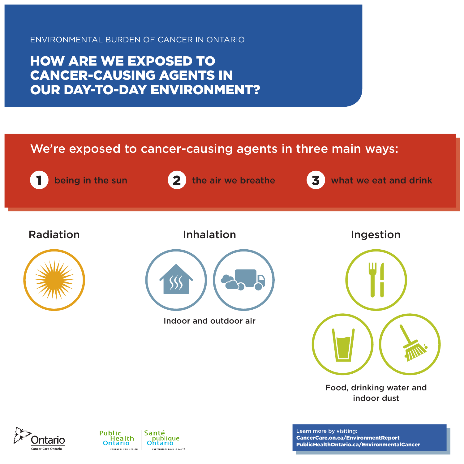HOW ARE WE EXPOSED TO CANCER-CAUSING AGENTS IN OUR DAY-TO-DAY ENVIRONMENT?

We're exposed to cancer-causing agents in three main ways:





being in the sun  $\overline{2}$  the air we breathe  $\overline{3}$  what we eat and drink

Radiation Inhalation





Indoor and outdoor air





#### Food, drinking water and indoor dust





Learn more by visiting: [CancerCare.on.ca/EnvironmentReport](http://www.CancerCare.on.ca/EnvironmentReport) [PublicHealthOntario.ca/EnvironmentalCancer](http://www.PublicHealthOntario.ca/EnvironmentalCancer)

ancer Care Ontaric

PARTENAIRES POUR LA SANTÉ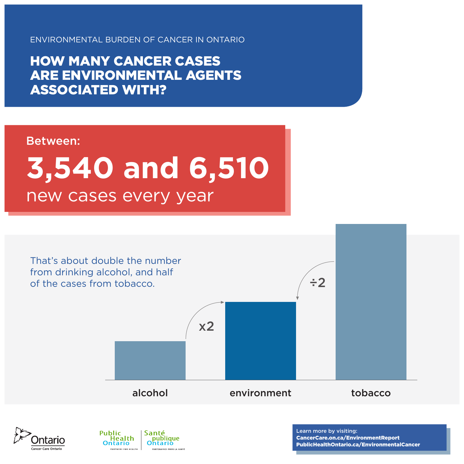HOW MANY CANCER CASES ARE ENVIRONMENTAL AGENTS ASSOCIATED WITH?

### Between:

# new cases every year **3,540 and 6,510**

That's about double the number from drinking alcohol, and half of the cases from tobacco.

x2



#### alcohol environment tobacco



÷2



PARTENAIRES POUR LA SANTÉ

Learn more by visiting: [CancerCare.on.ca/EnvironmentReport](http://www.CancerCare.on.ca/EnvironmentReport) [PublicHealthOntario.ca/EnvironmentalCancer](http://www.PublicHealthOntario.ca/EnvironmentalCancer)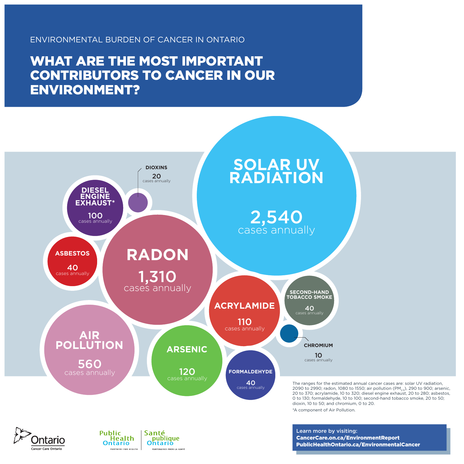







PARTENAIRES POUR LA SANTÉ

WHAT ARE THE MOST IMPORTANT CONTRIBUTORS TO CANCER IN OUR ENVIRONMENT?

> Learn more by visiting: [CancerCare.on.ca/EnvironmentReport](http://www.CancerCare.on.ca/EnvironmentReport) [PublicHealthOntario.ca/EnvironmentalCancer](http://www.PublicHealthOntario.ca/EnvironmentalCancer)